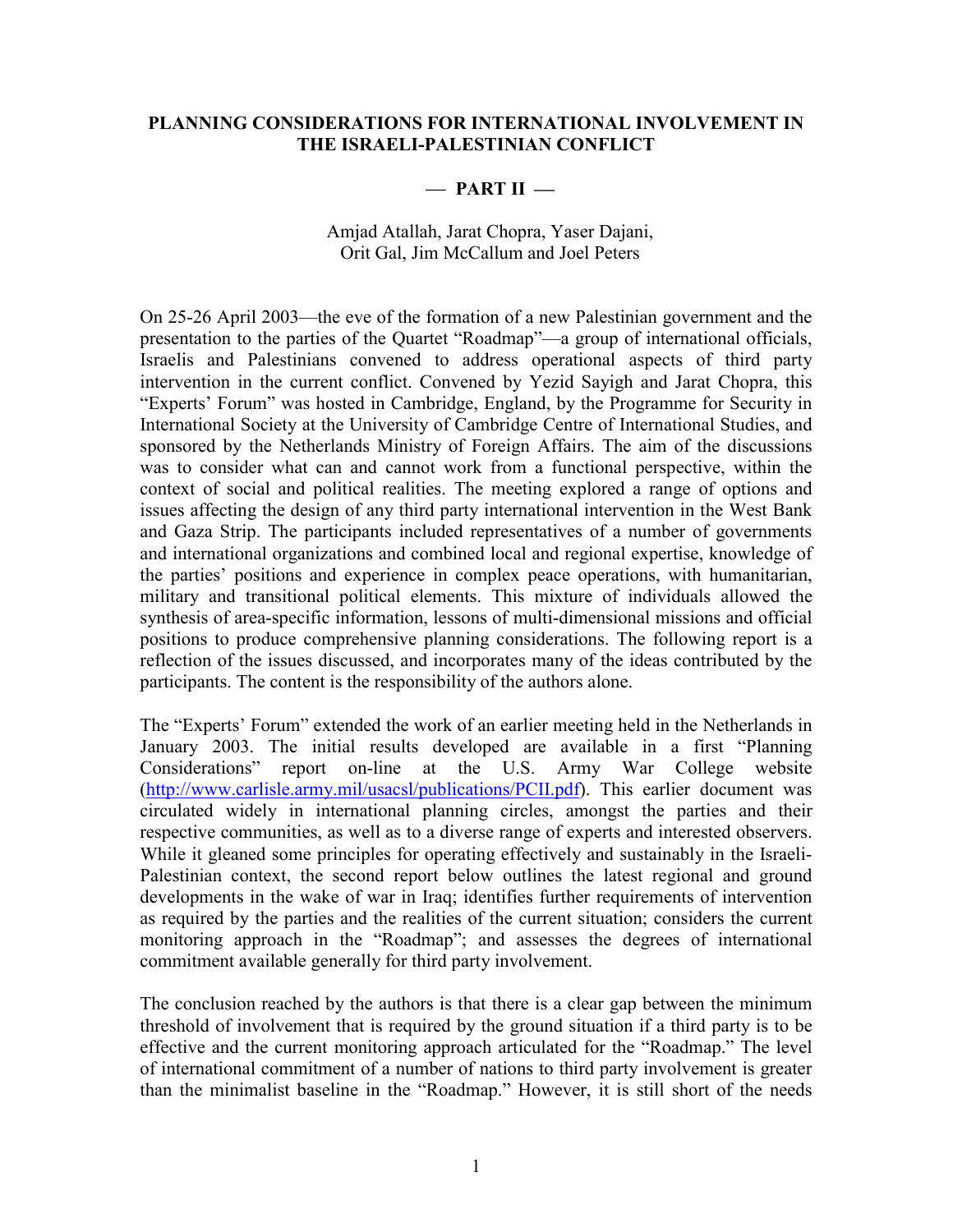### **PLANNING CONSIDERATIONS FOR INTERNATIONAL INVOLVEMENT IN THE ISRAELI-PALESTINIAN CONFLICT**

# - **PART II** -

### Amjad Atallah, Jarat Chopra, Yaser Dajani, Orit Gal, Jim McCallum and Joel Peters

On 25-26 April 2003—the eve of the formation of a new Palestinian government and the presentation to the parties of the Quartet "Roadmap"—a group of international officials, Israelis and Palestinians convened to address operational aspects of third party intervention in the current conflict. Convened by Yezid Sayigh and Jarat Chopra, this "Experts' Forum" was hosted in Cambridge, England, by the Programme for Security in International Society at the University of Cambridge Centre of International Studies, and sponsored by the Netherlands Ministry of Foreign Affairs. The aim of the discussions was to consider what can and cannot work from a functional perspective, within the context of social and political realities. The meeting explored a range of options and issues affecting the design of any third party international intervention in the West Bank and Gaza Strip. The participants included representatives of a number of governments and international organizations and combined local and regional expertise, knowledge of the parties' positions and experience in complex peace operations, with humanitarian, military and transitional political elements. This mixture of individuals allowed the synthesis of area-specific information, lessons of multi-dimensional missions and official positions to produce comprehensive planning considerations. The following report is a reflection of the issues discussed, and incorporates many of the ideas contributed by the participants. The content is the responsibility of the authors alone.

The "Experts' Forum" extended the work of an earlier meeting held in the Netherlands in January 2003. The initial results developed are available in a first "Planning Considerations" report on-line at the U.S. Army War College website ([http://www.carlisle.army.mil/usacsl/publications/PCII.pdf\)](http://www.carlisle.army.mil/usacsl/publications/PCII.pdf). This earlier document was circulated widely in international planning circles, amongst the parties and their respective communities, as well as to a diverse range of experts and interested observers. While it gleaned some principles for operating effectively and sustainably in the Israeli-Palestinian context, the second report below outlines the latest regional and ground developments in the wake of war in Iraq; identifies further requirements of intervention as required by the parties and the realities of the current situation; considers the current monitoring approach in the "Roadmap"; and assesses the degrees of international commitment available generally for third party involvement.

The conclusion reached by the authors is that there is a clear gap between the minimum threshold of involvement that is required by the ground situation if a third party is to be effective and the current monitoring approach articulated for the "Roadmap." The level of international commitment of a number of nations to third party involvement is greater than the minimalist baseline in the "Roadmap." However, it is still short of the needs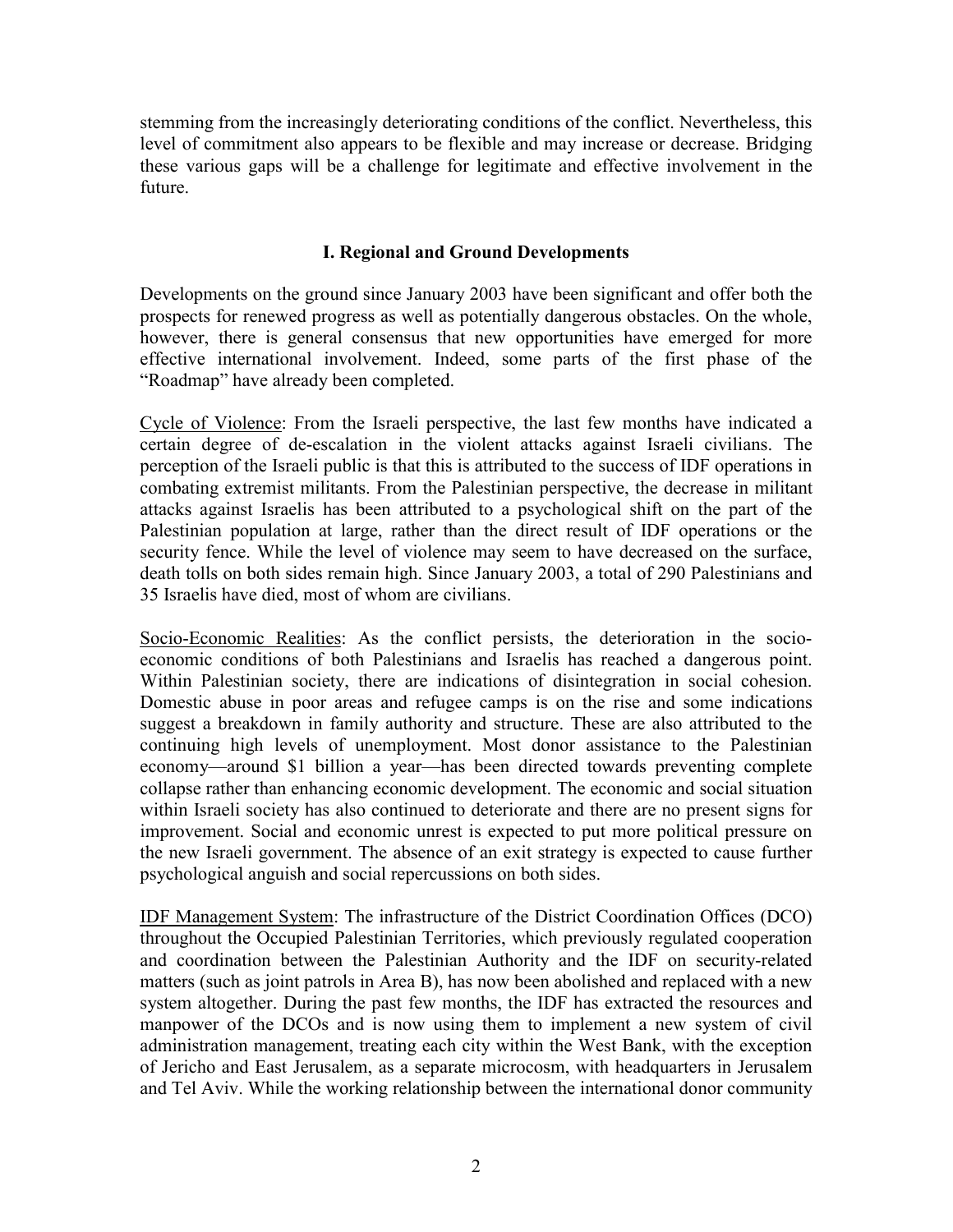stemming from the increasingly deteriorating conditions of the conflict. Nevertheless, this level of commitment also appears to be flexible and may increase or decrease. Bridging these various gaps will be a challenge for legitimate and effective involvement in the future.

### **I. Regional and Ground Developments**

Developments on the ground since January 2003 have been significant and offer both the prospects for renewed progress as well as potentially dangerous obstacles. On the whole, however, there is general consensus that new opportunities have emerged for more effective international involvement. Indeed, some parts of the first phase of the "Roadmap" have already been completed.

Cycle of Violence: From the Israeli perspective, the last few months have indicated a certain degree of de-escalation in the violent attacks against Israeli civilians. The perception of the Israeli public is that this is attributed to the success of IDF operations in combating extremist militants. From the Palestinian perspective, the decrease in militant attacks against Israelis has been attributed to a psychological shift on the part of the Palestinian population at large, rather than the direct result of IDF operations or the security fence. While the level of violence may seem to have decreased on the surface, death tolls on both sides remain high. Since January 2003, a total of 290 Palestinians and 35 Israelis have died, most of whom are civilians.

Socio-Economic Realities: As the conflict persists, the deterioration in the socioeconomic conditions of both Palestinians and Israelis has reached a dangerous point. Within Palestinian society, there are indications of disintegration in social cohesion. Domestic abuse in poor areas and refugee camps is on the rise and some indications suggest a breakdown in family authority and structure. These are also attributed to the continuing high levels of unemployment. Most donor assistance to the Palestinian economy—around \$1 billion a year—has been directed towards preventing complete collapse rather than enhancing economic development. The economic and social situation within Israeli society has also continued to deteriorate and there are no present signs for improvement. Social and economic unrest is expected to put more political pressure on the new Israeli government. The absence of an exit strategy is expected to cause further psychological anguish and social repercussions on both sides.

IDF Management System: The infrastructure of the District Coordination Offices (DCO) throughout the Occupied Palestinian Territories, which previously regulated cooperation and coordination between the Palestinian Authority and the IDF on security-related matters (such as joint patrols in Area B), has now been abolished and replaced with a new system altogether. During the past few months, the IDF has extracted the resources and manpower of the DCOs and is now using them to implement a new system of civil administration management, treating each city within the West Bank, with the exception of Jericho and East Jerusalem, as a separate microcosm, with headquarters in Jerusalem and Tel Aviv. While the working relationship between the international donor community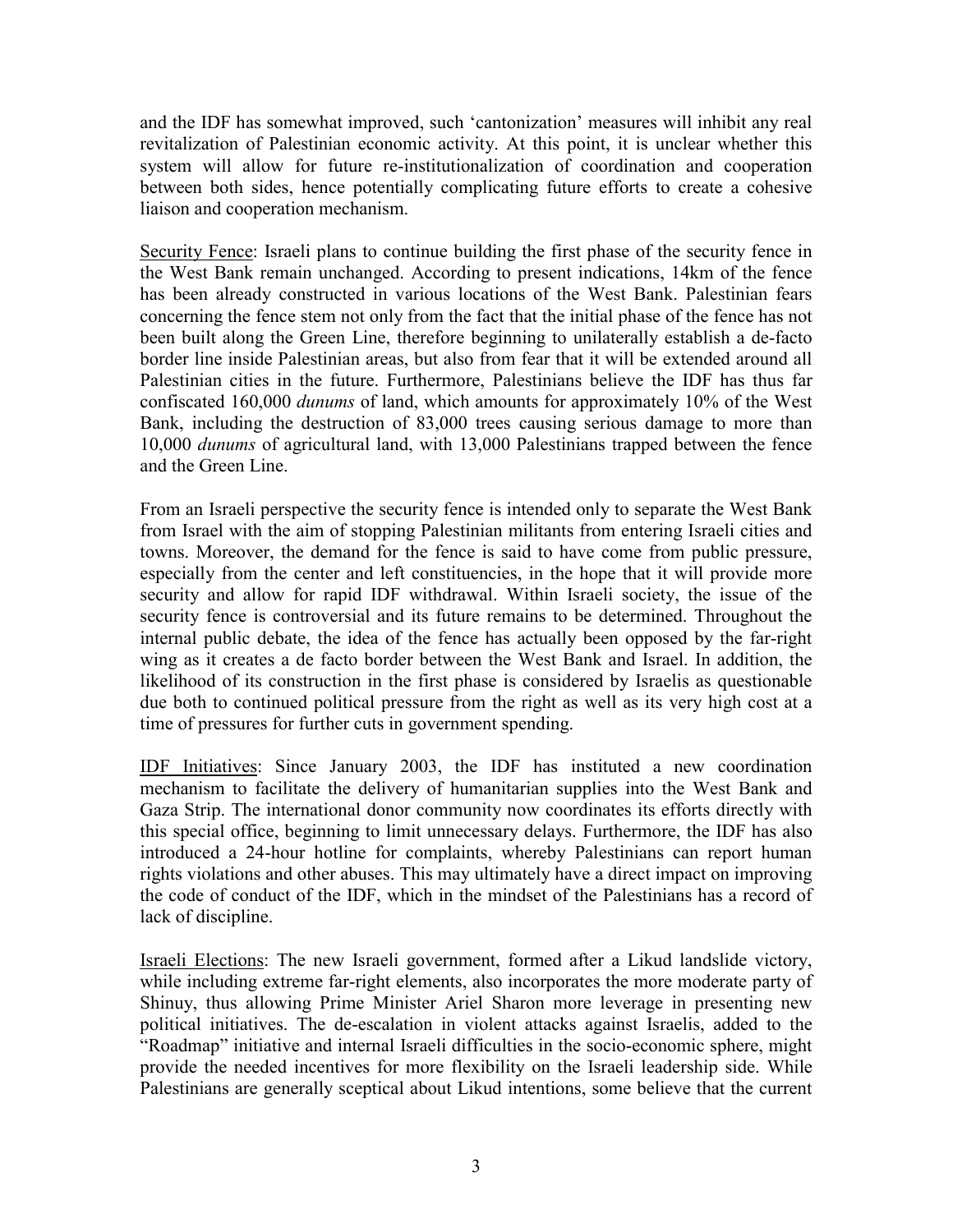and the IDF has somewhat improved, such 'cantonization' measures will inhibit any real revitalization of Palestinian economic activity. At this point, it is unclear whether this system will allow for future re-institutionalization of coordination and cooperation between both sides, hence potentially complicating future efforts to create a cohesive liaison and cooperation mechanism.

Security Fence: Israeli plans to continue building the first phase of the security fence in the West Bank remain unchanged. According to present indications, 14km of the fence has been already constructed in various locations of the West Bank. Palestinian fears concerning the fence stem not only from the fact that the initial phase of the fence has not been built along the Green Line, therefore beginning to unilaterally establish a de-facto border line inside Palestinian areas, but also from fear that it will be extended around all Palestinian cities in the future. Furthermore, Palestinians believe the IDF has thus far confiscated 160,000 *dunums* of land, which amounts for approximately 10% of the West Bank, including the destruction of 83,000 trees causing serious damage to more than 10,000 *dunums* of agricultural land, with 13,000 Palestinians trapped between the fence and the Green Line.

From an Israeli perspective the security fence is intended only to separate the West Bank from Israel with the aim of stopping Palestinian militants from entering Israeli cities and towns. Moreover, the demand for the fence is said to have come from public pressure, especially from the center and left constituencies, in the hope that it will provide more security and allow for rapid IDF withdrawal. Within Israeli society, the issue of the security fence is controversial and its future remains to be determined. Throughout the internal public debate, the idea of the fence has actually been opposed by the far-right wing as it creates a de facto border between the West Bank and Israel. In addition, the likelihood of its construction in the first phase is considered by Israelis as questionable due both to continued political pressure from the right as well as its very high cost at a time of pressures for further cuts in government spending.

IDF Initiatives: Since January 2003, the IDF has instituted a new coordination mechanism to facilitate the delivery of humanitarian supplies into the West Bank and Gaza Strip. The international donor community now coordinates its efforts directly with this special office, beginning to limit unnecessary delays. Furthermore, the IDF has also introduced a 24-hour hotline for complaints, whereby Palestinians can report human rights violations and other abuses. This may ultimately have a direct impact on improving the code of conduct of the IDF, which in the mindset of the Palestinians has a record of lack of discipline.

Israeli Elections: The new Israeli government, formed after a Likud landslide victory, while including extreme far-right elements, also incorporates the more moderate party of Shinuy, thus allowing Prime Minister Ariel Sharon more leverage in presenting new political initiatives. The de-escalation in violent attacks against Israelis, added to the "Roadmap" initiative and internal Israeli difficulties in the socio-economic sphere, might provide the needed incentives for more flexibility on the Israeli leadership side. While Palestinians are generally sceptical about Likud intentions, some believe that the current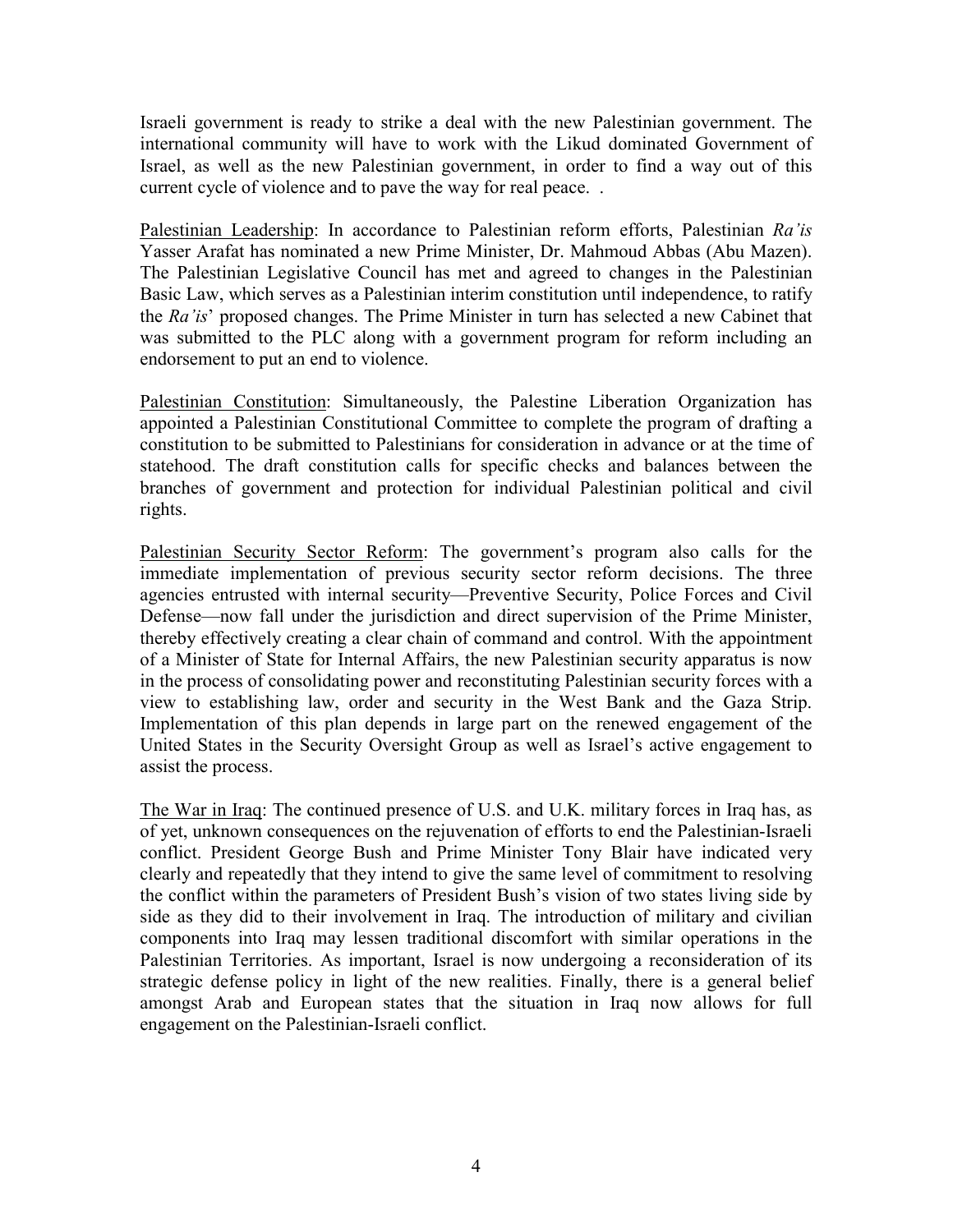Israeli government is ready to strike a deal with the new Palestinian government. The international community will have to work with the Likud dominated Government of Israel, as well as the new Palestinian government, in order to find a way out of this current cycle of violence and to pave the way for real peace. .

Palestinian Leadership: In accordance to Palestinian reform efforts, Palestinian *Ra'is*  Yasser Arafat has nominated a new Prime Minister, Dr. Mahmoud Abbas (Abu Mazen). The Palestinian Legislative Council has met and agreed to changes in the Palestinian Basic Law, which serves as a Palestinian interim constitution until independence, to ratify the *Ra'is*' proposed changes. The Prime Minister in turn has selected a new Cabinet that was submitted to the PLC along with a government program for reform including an endorsement to put an end to violence.

Palestinian Constitution: Simultaneously, the Palestine Liberation Organization has appointed a Palestinian Constitutional Committee to complete the program of drafting a constitution to be submitted to Palestinians for consideration in advance or at the time of statehood. The draft constitution calls for specific checks and balances between the branches of government and protection for individual Palestinian political and civil rights.

Palestinian Security Sector Reform: The government's program also calls for the immediate implementation of previous security sector reform decisions. The three agencies entrusted with internal security—Preventive Security, Police Forces and Civil Defense—now fall under the jurisdiction and direct supervision of the Prime Minister, thereby effectively creating a clear chain of command and control. With the appointment of a Minister of State for Internal Affairs, the new Palestinian security apparatus is now in the process of consolidating power and reconstituting Palestinian security forces with a view to establishing law, order and security in the West Bank and the Gaza Strip. Implementation of this plan depends in large part on the renewed engagement of the United States in the Security Oversight Group as well as Israel's active engagement to assist the process.

The War in Iraq: The continued presence of U.S. and U.K. military forces in Iraq has, as of yet, unknown consequences on the rejuvenation of efforts to end the Palestinian-Israeli conflict. President George Bush and Prime Minister Tony Blair have indicated very clearly and repeatedly that they intend to give the same level of commitment to resolving the conflict within the parameters of President Bush's vision of two states living side by side as they did to their involvement in Iraq. The introduction of military and civilian components into Iraq may lessen traditional discomfort with similar operations in the Palestinian Territories. As important, Israel is now undergoing a reconsideration of its strategic defense policy in light of the new realities. Finally, there is a general belief amongst Arab and European states that the situation in Iraq now allows for full engagement on the Palestinian-Israeli conflict.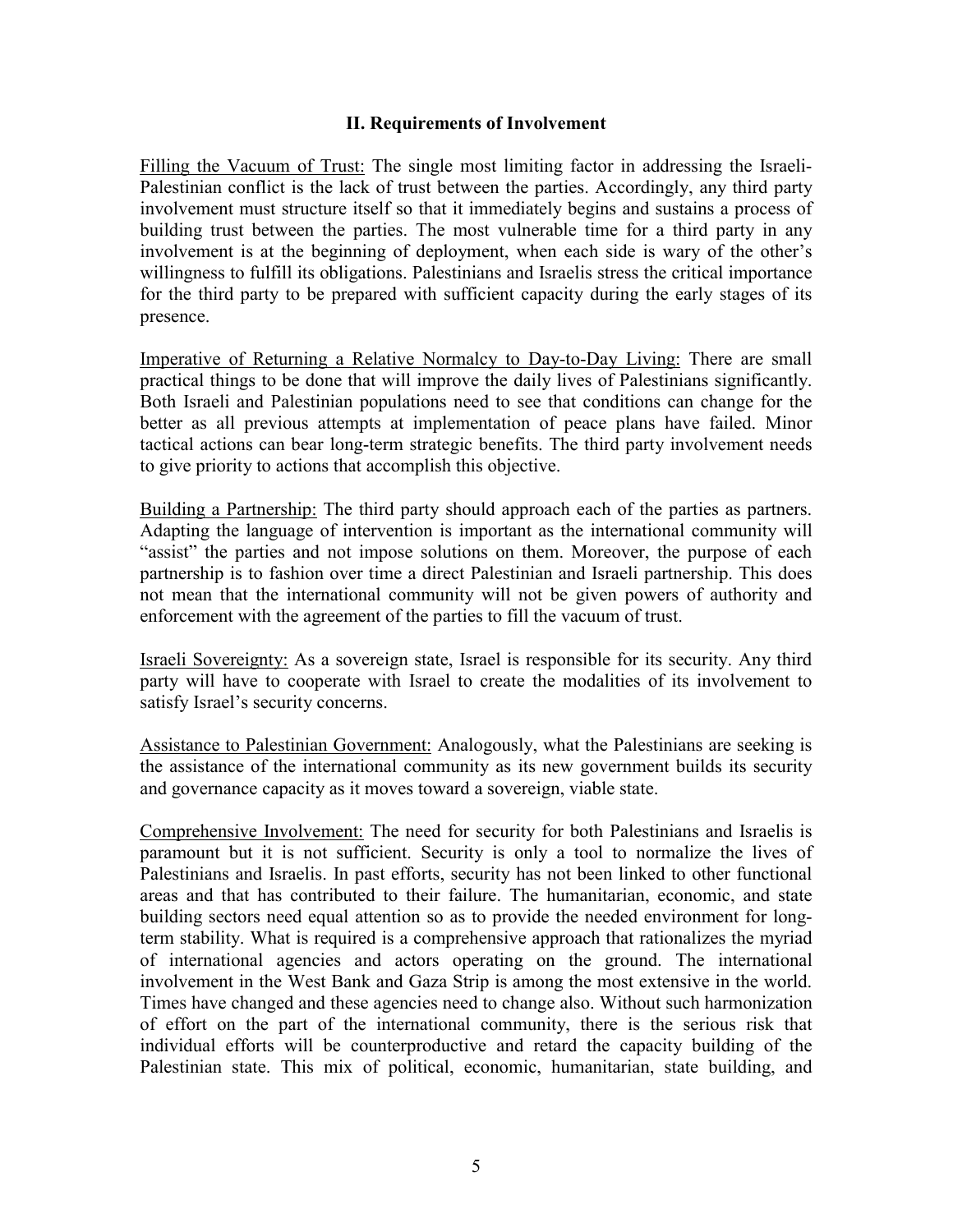### **II. Requirements of Involvement**

Filling the Vacuum of Trust: The single most limiting factor in addressing the Israeli-Palestinian conflict is the lack of trust between the parties. Accordingly, any third party involvement must structure itself so that it immediately begins and sustains a process of building trust between the parties. The most vulnerable time for a third party in any involvement is at the beginning of deployment, when each side is wary of the other's willingness to fulfill its obligations. Palestinians and Israelis stress the critical importance for the third party to be prepared with sufficient capacity during the early stages of its presence.

Imperative of Returning a Relative Normalcy to Day-to-Day Living: There are small practical things to be done that will improve the daily lives of Palestinians significantly. Both Israeli and Palestinian populations need to see that conditions can change for the better as all previous attempts at implementation of peace plans have failed. Minor tactical actions can bear long-term strategic benefits. The third party involvement needs to give priority to actions that accomplish this objective.

Building a Partnership: The third party should approach each of the parties as partners. Adapting the language of intervention is important as the international community will "assist" the parties and not impose solutions on them. Moreover, the purpose of each partnership is to fashion over time a direct Palestinian and Israeli partnership. This does not mean that the international community will not be given powers of authority and enforcement with the agreement of the parties to fill the vacuum of trust.

Israeli Sovereignty: As a sovereign state, Israel is responsible for its security. Any third party will have to cooperate with Israel to create the modalities of its involvement to satisfy Israel's security concerns.

Assistance to Palestinian Government: Analogously, what the Palestinians are seeking is the assistance of the international community as its new government builds its security and governance capacity as it moves toward a sovereign, viable state.

Comprehensive Involvement: The need for security for both Palestinians and Israelis is paramount but it is not sufficient. Security is only a tool to normalize the lives of Palestinians and Israelis. In past efforts, security has not been linked to other functional areas and that has contributed to their failure. The humanitarian, economic, and state building sectors need equal attention so as to provide the needed environment for longterm stability. What is required is a comprehensive approach that rationalizes the myriad of international agencies and actors operating on the ground. The international involvement in the West Bank and Gaza Strip is among the most extensive in the world. Times have changed and these agencies need to change also. Without such harmonization of effort on the part of the international community, there is the serious risk that individual efforts will be counterproductive and retard the capacity building of the Palestinian state. This mix of political, economic, humanitarian, state building, and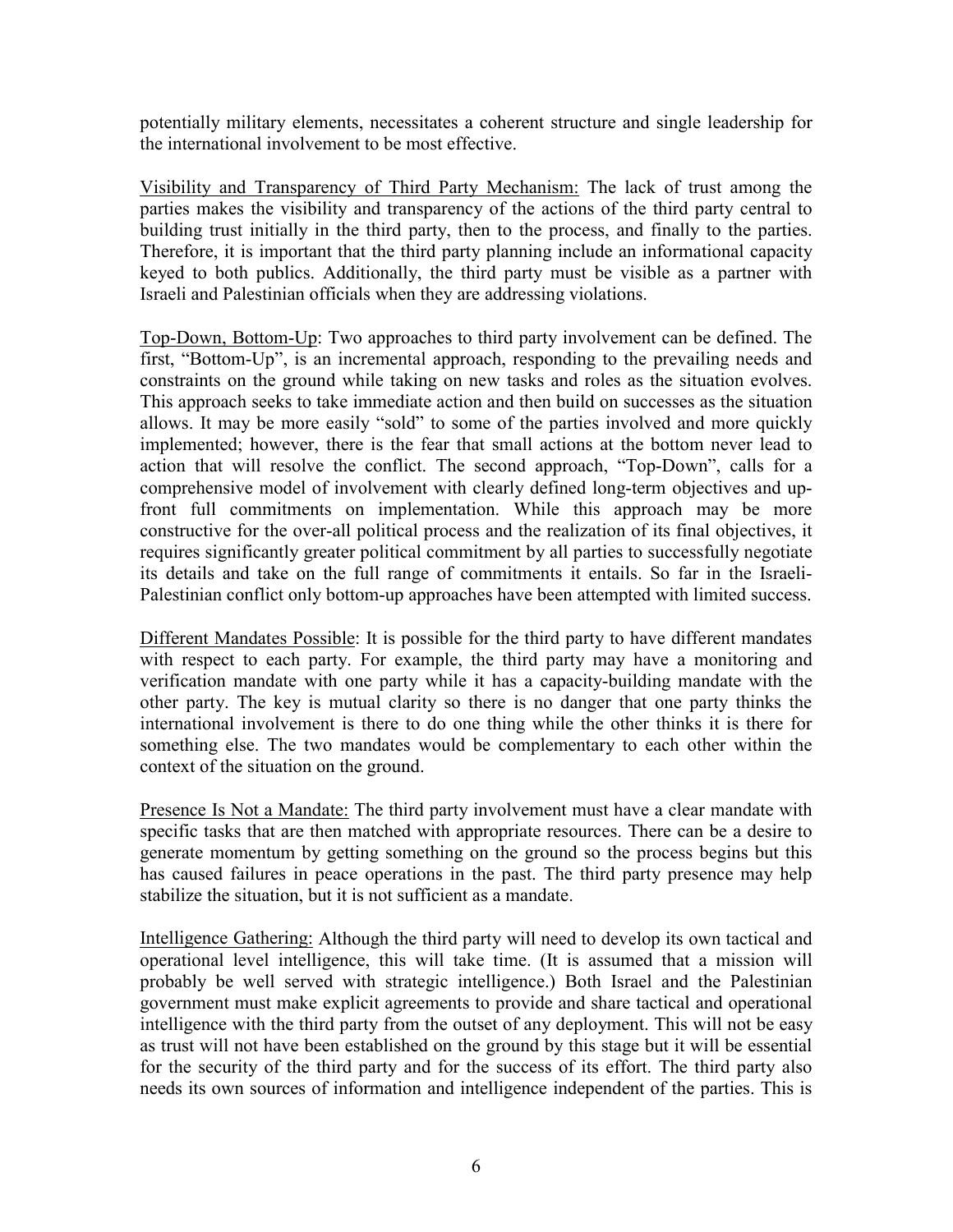potentially military elements, necessitates a coherent structure and single leadership for the international involvement to be most effective.

Visibility and Transparency of Third Party Mechanism: The lack of trust among the parties makes the visibility and transparency of the actions of the third party central to building trust initially in the third party, then to the process, and finally to the parties. Therefore, it is important that the third party planning include an informational capacity keyed to both publics. Additionally, the third party must be visible as a partner with Israeli and Palestinian officials when they are addressing violations.

Top-Down, Bottom-Up: Two approaches to third party involvement can be defined. The first, "Bottom-Up", is an incremental approach, responding to the prevailing needs and constraints on the ground while taking on new tasks and roles as the situation evolves. This approach seeks to take immediate action and then build on successes as the situation allows. It may be more easily "sold" to some of the parties involved and more quickly implemented; however, there is the fear that small actions at the bottom never lead to action that will resolve the conflict. The second approach, "Top-Down", calls for a comprehensive model of involvement with clearly defined long-term objectives and upfront full commitments on implementation. While this approach may be more constructive for the over-all political process and the realization of its final objectives, it requires significantly greater political commitment by all parties to successfully negotiate its details and take on the full range of commitments it entails. So far in the Israeli-Palestinian conflict only bottom-up approaches have been attempted with limited success.

Different Mandates Possible: It is possible for the third party to have different mandates with respect to each party. For example, the third party may have a monitoring and verification mandate with one party while it has a capacity-building mandate with the other party. The key is mutual clarity so there is no danger that one party thinks the international involvement is there to do one thing while the other thinks it is there for something else. The two mandates would be complementary to each other within the context of the situation on the ground.

Presence Is Not a Mandate: The third party involvement must have a clear mandate with specific tasks that are then matched with appropriate resources. There can be a desire to generate momentum by getting something on the ground so the process begins but this has caused failures in peace operations in the past. The third party presence may help stabilize the situation, but it is not sufficient as a mandate.

Intelligence Gathering: Although the third party will need to develop its own tactical and operational level intelligence, this will take time. (It is assumed that a mission will probably be well served with strategic intelligence.) Both Israel and the Palestinian government must make explicit agreements to provide and share tactical and operational intelligence with the third party from the outset of any deployment. This will not be easy as trust will not have been established on the ground by this stage but it will be essential for the security of the third party and for the success of its effort. The third party also needs its own sources of information and intelligence independent of the parties. This is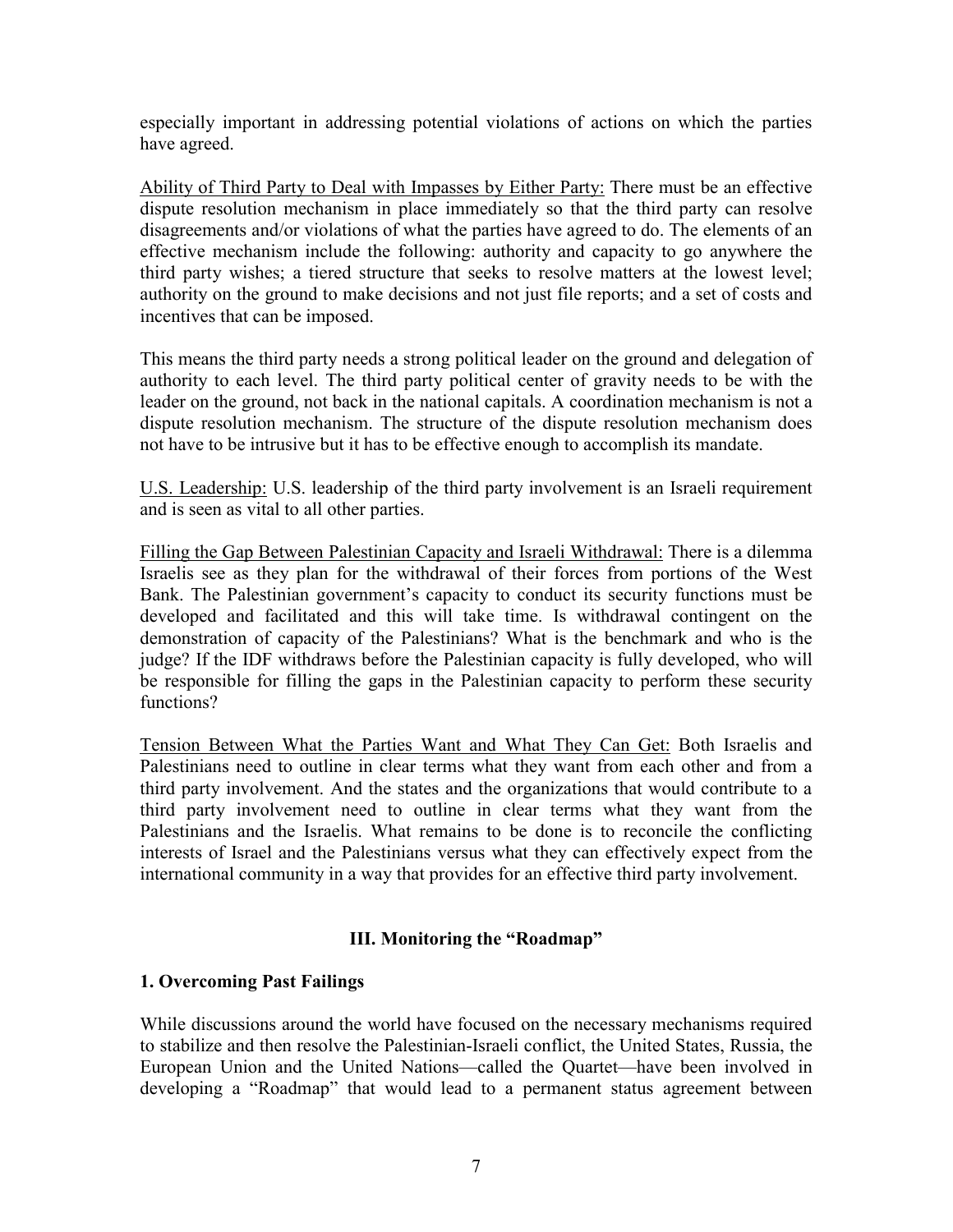especially important in addressing potential violations of actions on which the parties have agreed.

Ability of Third Party to Deal with Impasses by Either Party: There must be an effective dispute resolution mechanism in place immediately so that the third party can resolve disagreements and/or violations of what the parties have agreed to do. The elements of an effective mechanism include the following: authority and capacity to go anywhere the third party wishes; a tiered structure that seeks to resolve matters at the lowest level; authority on the ground to make decisions and not just file reports; and a set of costs and incentives that can be imposed.

This means the third party needs a strong political leader on the ground and delegation of authority to each level. The third party political center of gravity needs to be with the leader on the ground, not back in the national capitals. A coordination mechanism is not a dispute resolution mechanism. The structure of the dispute resolution mechanism does not have to be intrusive but it has to be effective enough to accomplish its mandate.

U.S. Leadership: U.S. leadership of the third party involvement is an Israeli requirement and is seen as vital to all other parties.

Filling the Gap Between Palestinian Capacity and Israeli Withdrawal: There is a dilemma Israelis see as they plan for the withdrawal of their forces from portions of the West Bank. The Palestinian government's capacity to conduct its security functions must be developed and facilitated and this will take time. Is withdrawal contingent on the demonstration of capacity of the Palestinians? What is the benchmark and who is the judge? If the IDF withdraws before the Palestinian capacity is fully developed, who will be responsible for filling the gaps in the Palestinian capacity to perform these security functions?

Tension Between What the Parties Want and What They Can Get: Both Israelis and Palestinians need to outline in clear terms what they want from each other and from a third party involvement. And the states and the organizations that would contribute to a third party involvement need to outline in clear terms what they want from the Palestinians and the Israelis. What remains to be done is to reconcile the conflicting interests of Israel and the Palestinians versus what they can effectively expect from the international community in a way that provides for an effective third party involvement.

## **III. Monitoring the "Roadmap"**

## **1. Overcoming Past Failings**

While discussions around the world have focused on the necessary mechanisms required to stabilize and then resolve the Palestinian-Israeli conflict, the United States, Russia, the European Union and the United Nations—called the Quartet—have been involved in developing a "Roadmap" that would lead to a permanent status agreement between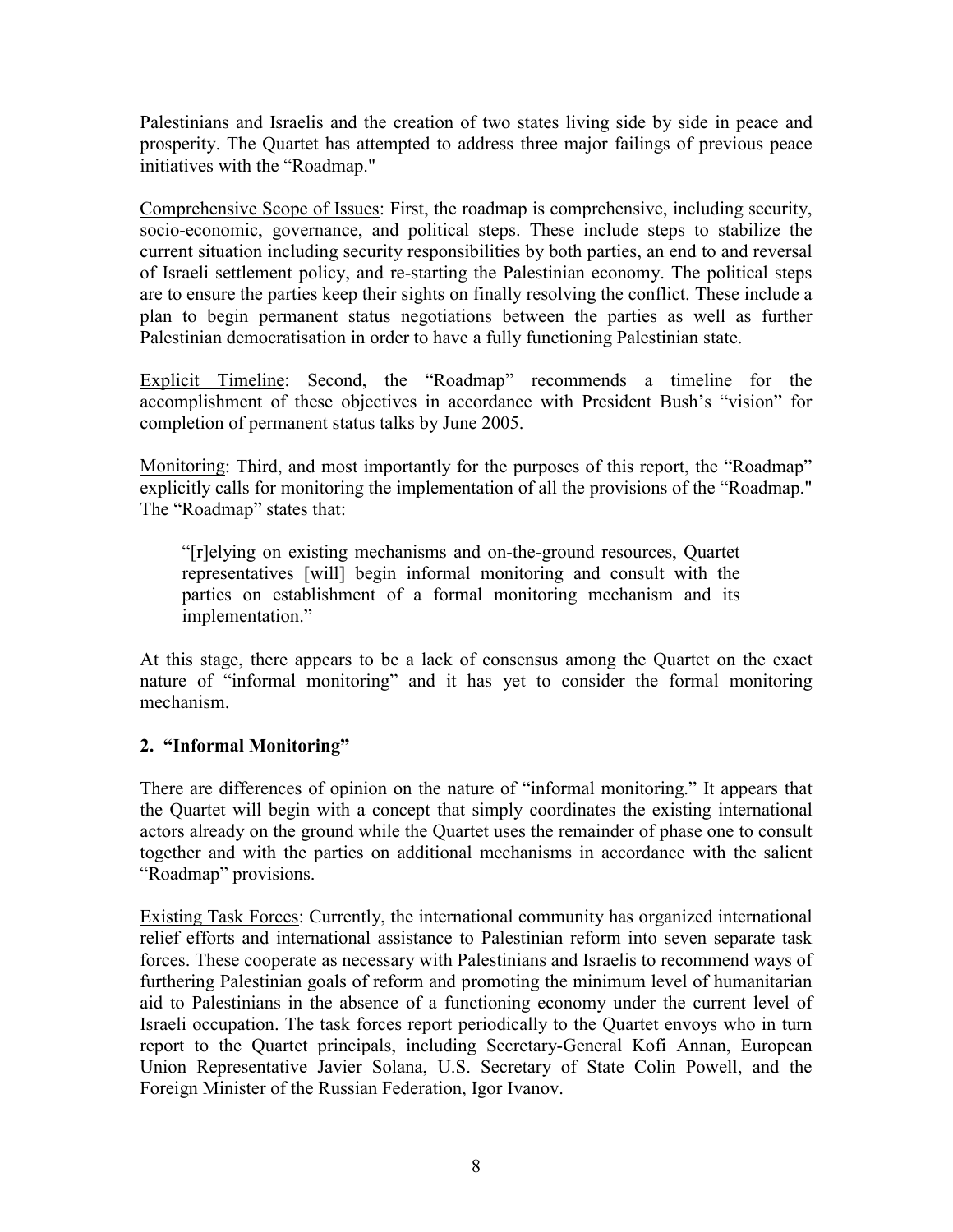Palestinians and Israelis and the creation of two states living side by side in peace and prosperity. The Quartet has attempted to address three major failings of previous peace initiatives with the "Roadmap."

Comprehensive Scope of Issues: First, the roadmap is comprehensive, including security, socio-economic, governance, and political steps. These include steps to stabilize the current situation including security responsibilities by both parties, an end to and reversal of Israeli settlement policy, and re-starting the Palestinian economy. The political steps are to ensure the parties keep their sights on finally resolving the conflict. These include a plan to begin permanent status negotiations between the parties as well as further Palestinian democratisation in order to have a fully functioning Palestinian state.

Explicit Timeline: Second, the "Roadmap" recommends a timeline for the accomplishment of these objectives in accordance with President Bush's "vision" for completion of permanent status talks by June 2005.

Monitoring: Third, and most importantly for the purposes of this report, the "Roadmap" explicitly calls for monitoring the implementation of all the provisions of the "Roadmap." The "Roadmap" states that:

"[r]elying on existing mechanisms and on-the-ground resources, Quartet representatives [will] begin informal monitoring and consult with the parties on establishment of a formal monitoring mechanism and its implementation."

At this stage, there appears to be a lack of consensus among the Quartet on the exact nature of "informal monitoring" and it has yet to consider the formal monitoring mechanism.

# **2. "Informal Monitoring"**

There are differences of opinion on the nature of "informal monitoring." It appears that the Quartet will begin with a concept that simply coordinates the existing international actors already on the ground while the Quartet uses the remainder of phase one to consult together and with the parties on additional mechanisms in accordance with the salient "Roadmap" provisions.

Existing Task Forces: Currently, the international community has organized international relief efforts and international assistance to Palestinian reform into seven separate task forces. These cooperate as necessary with Palestinians and Israelis to recommend ways of furthering Palestinian goals of reform and promoting the minimum level of humanitarian aid to Palestinians in the absence of a functioning economy under the current level of Israeli occupation. The task forces report periodically to the Quartet envoys who in turn report to the Quartet principals, including Secretary-General Kofi Annan, European Union Representative Javier Solana, U.S. Secretary of State Colin Powell, and the Foreign Minister of the Russian Federation, Igor Ivanov.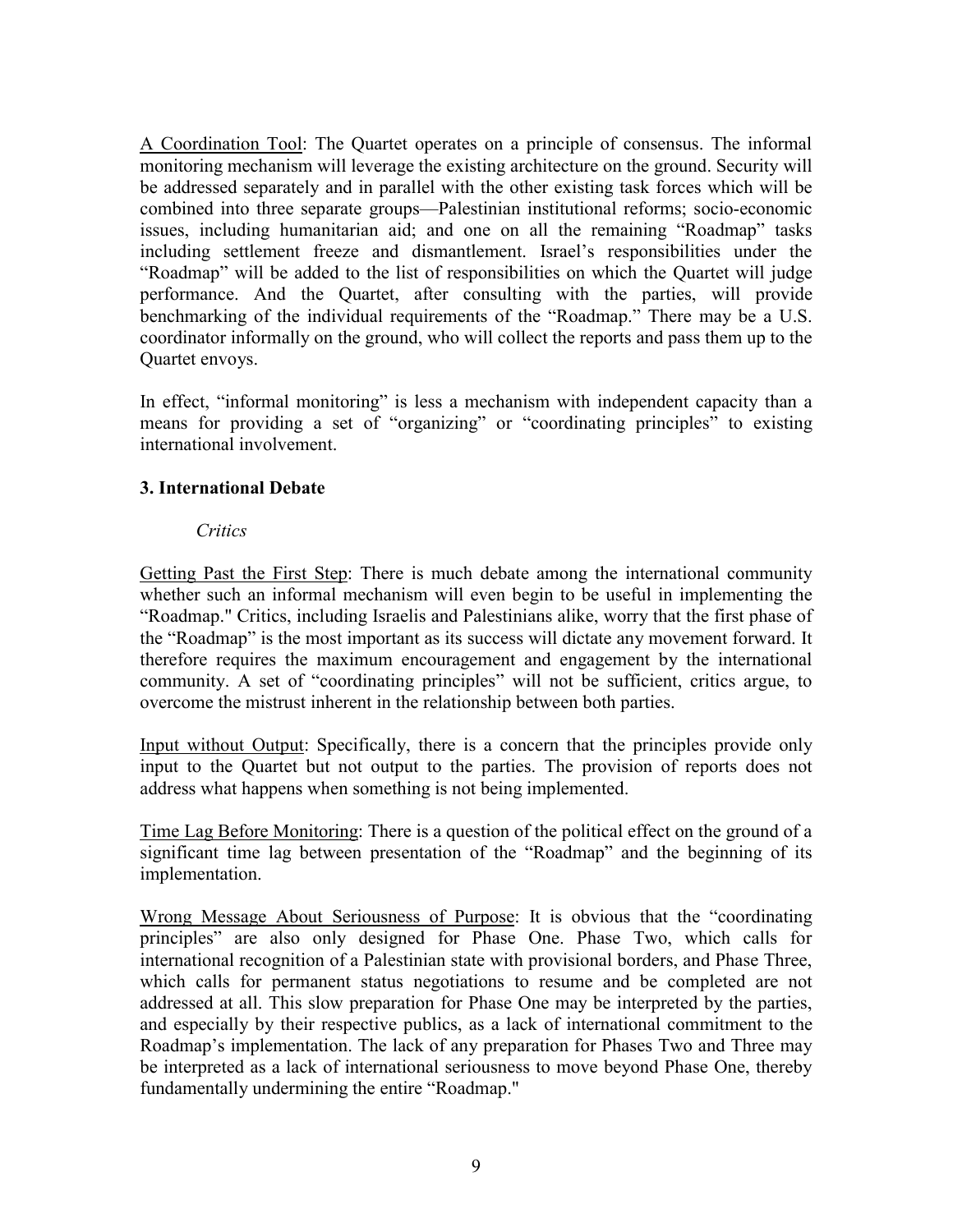A Coordination Tool: The Quartet operates on a principle of consensus. The informal monitoring mechanism will leverage the existing architecture on the ground. Security will be addressed separately and in parallel with the other existing task forces which will be combined into three separate groups—Palestinian institutional reforms; socio-economic issues, including humanitarian aid; and one on all the remaining "Roadmap" tasks including settlement freeze and dismantlement. Israel's responsibilities under the "Roadmap" will be added to the list of responsibilities on which the Quartet will judge performance. And the Quartet, after consulting with the parties, will provide benchmarking of the individual requirements of the "Roadmap." There may be a U.S. coordinator informally on the ground, who will collect the reports and pass them up to the Quartet envoys.

In effect, "informal monitoring" is less a mechanism with independent capacity than a means for providing a set of "organizing" or "coordinating principles" to existing international involvement.

## **3. International Debate**

### *Critics*

Getting Past the First Step: There is much debate among the international community whether such an informal mechanism will even begin to be useful in implementing the "Roadmap." Critics, including Israelis and Palestinians alike, worry that the first phase of the "Roadmap" is the most important as its success will dictate any movement forward. It therefore requires the maximum encouragement and engagement by the international community. A set of "coordinating principles" will not be sufficient, critics argue, to overcome the mistrust inherent in the relationship between both parties.

Input without Output: Specifically, there is a concern that the principles provide only input to the Quartet but not output to the parties. The provision of reports does not address what happens when something is not being implemented.

Time Lag Before Monitoring: There is a question of the political effect on the ground of a significant time lag between presentation of the "Roadmap" and the beginning of its implementation.

Wrong Message About Seriousness of Purpose: It is obvious that the "coordinating principles" are also only designed for Phase One. Phase Two, which calls for international recognition of a Palestinian state with provisional borders, and Phase Three, which calls for permanent status negotiations to resume and be completed are not addressed at all. This slow preparation for Phase One may be interpreted by the parties, and especially by their respective publics, as a lack of international commitment to the Roadmap's implementation. The lack of any preparation for Phases Two and Three may be interpreted as a lack of international seriousness to move beyond Phase One, thereby fundamentally undermining the entire "Roadmap."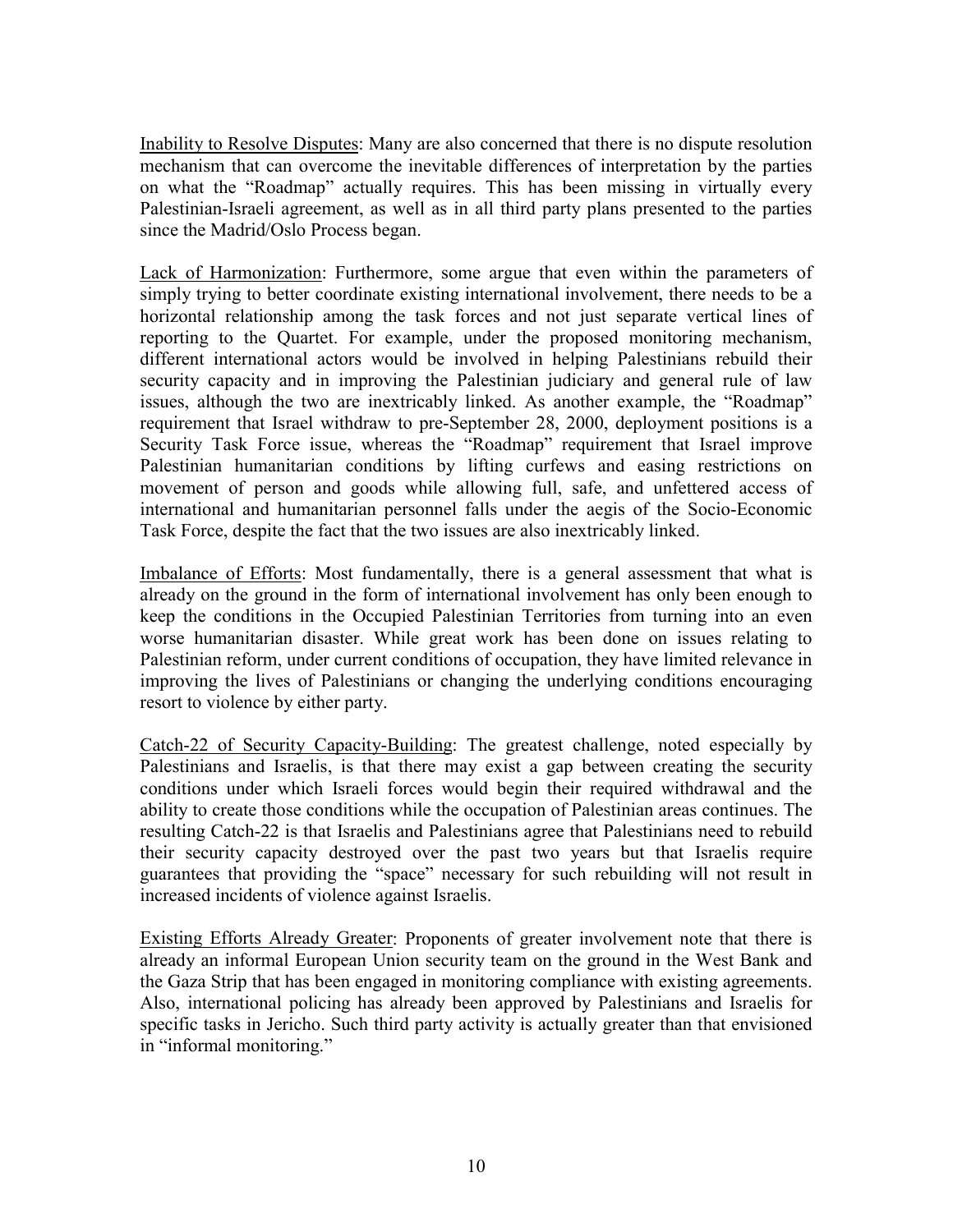Inability to Resolve Disputes: Many are also concerned that there is no dispute resolution mechanism that can overcome the inevitable differences of interpretation by the parties on what the "Roadmap" actually requires. This has been missing in virtually every Palestinian-Israeli agreement, as well as in all third party plans presented to the parties since the Madrid/Oslo Process began.

Lack of Harmonization: Furthermore, some argue that even within the parameters of simply trying to better coordinate existing international involvement, there needs to be a horizontal relationship among the task forces and not just separate vertical lines of reporting to the Quartet. For example, under the proposed monitoring mechanism, different international actors would be involved in helping Palestinians rebuild their security capacity and in improving the Palestinian judiciary and general rule of law issues, although the two are inextricably linked. As another example, the "Roadmap" requirement that Israel withdraw to pre-September 28, 2000, deployment positions is a Security Task Force issue, whereas the "Roadmap" requirement that Israel improve Palestinian humanitarian conditions by lifting curfews and easing restrictions on movement of person and goods while allowing full, safe, and unfettered access of international and humanitarian personnel falls under the aegis of the Socio-Economic Task Force, despite the fact that the two issues are also inextricably linked.

Imbalance of Efforts: Most fundamentally, there is a general assessment that what is already on the ground in the form of international involvement has only been enough to keep the conditions in the Occupied Palestinian Territories from turning into an even worse humanitarian disaster. While great work has been done on issues relating to Palestinian reform, under current conditions of occupation, they have limited relevance in improving the lives of Palestinians or changing the underlying conditions encouraging resort to violence by either party.

Catch-22 of Security Capacity-Building: The greatest challenge, noted especially by Palestinians and Israelis, is that there may exist a gap between creating the security conditions under which Israeli forces would begin their required withdrawal and the ability to create those conditions while the occupation of Palestinian areas continues. The resulting Catch-22 is that Israelis and Palestinians agree that Palestinians need to rebuild their security capacity destroyed over the past two years but that Israelis require guarantees that providing the "space" necessary for such rebuilding will not result in increased incidents of violence against Israelis.

Existing Efforts Already Greater: Proponents of greater involvement note that there is already an informal European Union security team on the ground in the West Bank and the Gaza Strip that has been engaged in monitoring compliance with existing agreements. Also, international policing has already been approved by Palestinians and Israelis for specific tasks in Jericho. Such third party activity is actually greater than that envisioned in "informal monitoring."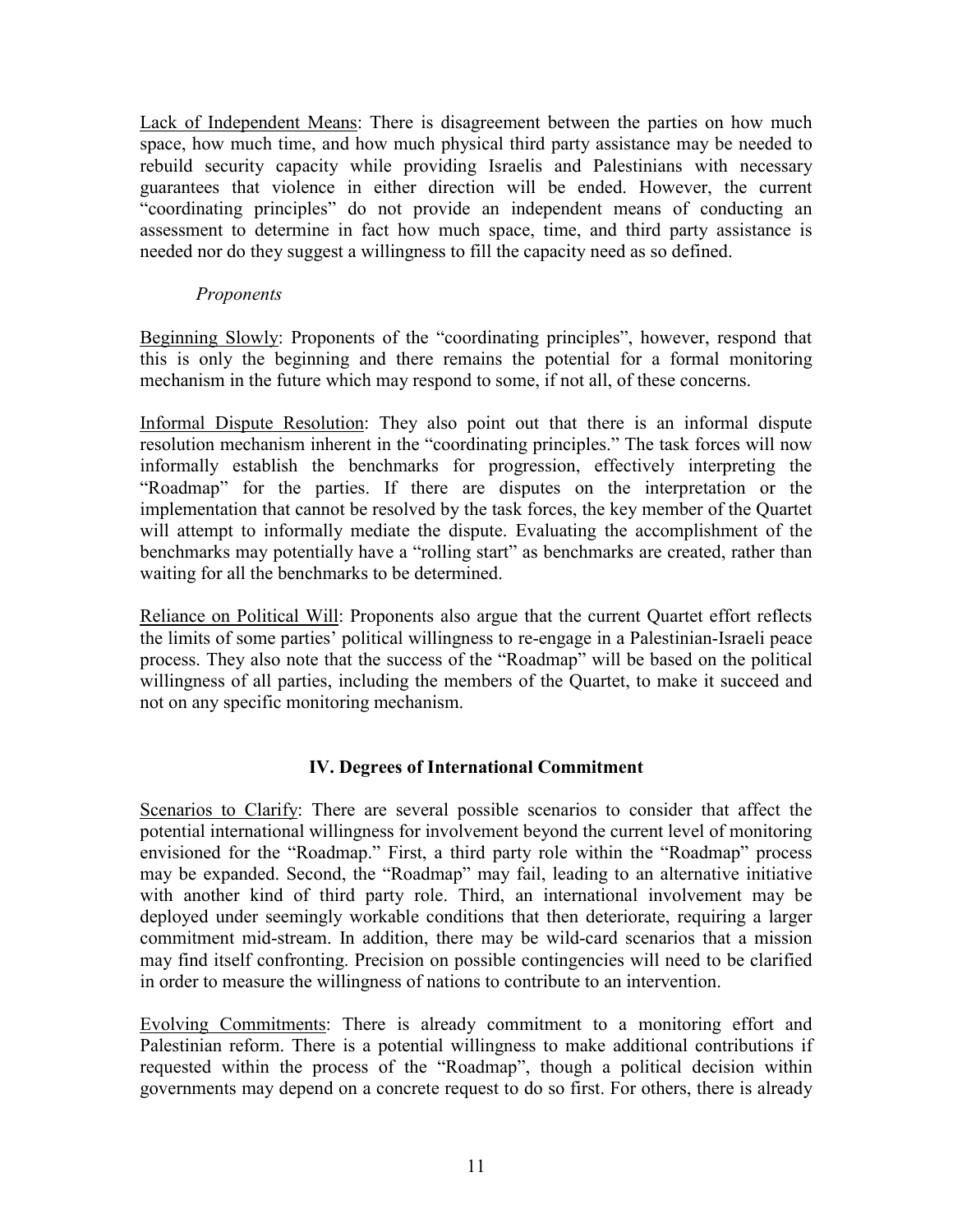Lack of Independent Means: There is disagreement between the parties on how much space, how much time, and how much physical third party assistance may be needed to rebuild security capacity while providing Israelis and Palestinians with necessary guarantees that violence in either direction will be ended. However, the current "coordinating principles" do not provide an independent means of conducting an assessment to determine in fact how much space, time, and third party assistance is needed nor do they suggest a willingness to fill the capacity need as so defined.

### *Proponents*

Beginning Slowly: Proponents of the "coordinating principles", however, respond that this is only the beginning and there remains the potential for a formal monitoring mechanism in the future which may respond to some, if not all, of these concerns.

Informal Dispute Resolution: They also point out that there is an informal dispute resolution mechanism inherent in the "coordinating principles." The task forces will now informally establish the benchmarks for progression, effectively interpreting the "Roadmap" for the parties. If there are disputes on the interpretation or the implementation that cannot be resolved by the task forces, the key member of the Quartet will attempt to informally mediate the dispute. Evaluating the accomplishment of the benchmarks may potentially have a "rolling start" as benchmarks are created, rather than waiting for all the benchmarks to be determined.

Reliance on Political Will: Proponents also argue that the current Quartet effort reflects the limits of some parties' political willingness to re-engage in a Palestinian-Israeli peace process. They also note that the success of the "Roadmap" will be based on the political willingness of all parties, including the members of the Quartet, to make it succeed and not on any specific monitoring mechanism.

## **IV. Degrees of International Commitment**

Scenarios to Clarify: There are several possible scenarios to consider that affect the potential international willingness for involvement beyond the current level of monitoring envisioned for the "Roadmap." First, a third party role within the "Roadmap" process may be expanded. Second, the "Roadmap" may fail, leading to an alternative initiative with another kind of third party role. Third, an international involvement may be deployed under seemingly workable conditions that then deteriorate, requiring a larger commitment mid-stream. In addition, there may be wild-card scenarios that a mission may find itself confronting. Precision on possible contingencies will need to be clarified in order to measure the willingness of nations to contribute to an intervention.

Evolving Commitments: There is already commitment to a monitoring effort and Palestinian reform. There is a potential willingness to make additional contributions if requested within the process of the "Roadmap", though a political decision within governments may depend on a concrete request to do so first. For others, there is already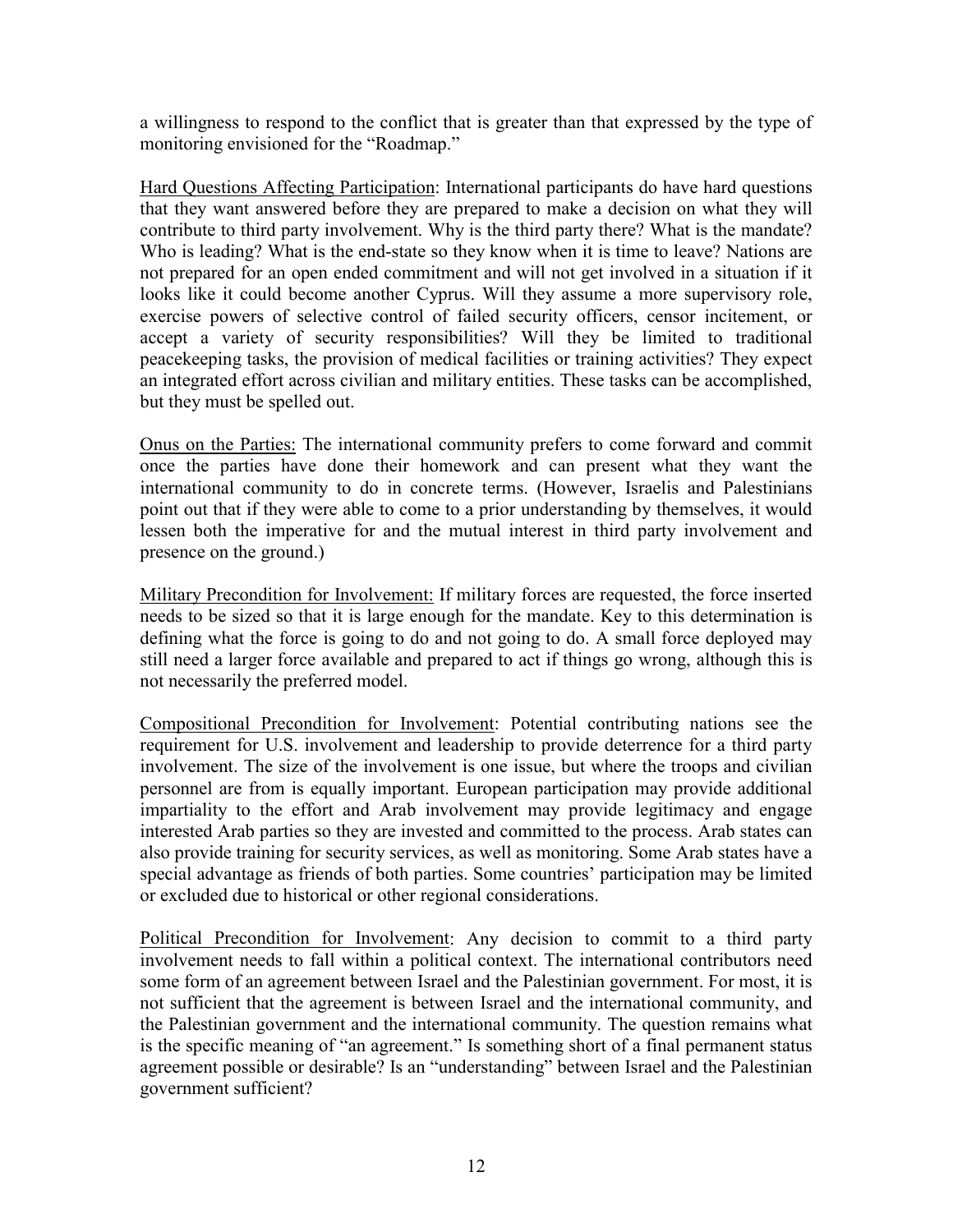a willingness to respond to the conflict that is greater than that expressed by the type of monitoring envisioned for the "Roadmap."

Hard Questions Affecting Participation: International participants do have hard questions that they want answered before they are prepared to make a decision on what they will contribute to third party involvement. Why is the third party there? What is the mandate? Who is leading? What is the end-state so they know when it is time to leave? Nations are not prepared for an open ended commitment and will not get involved in a situation if it looks like it could become another Cyprus. Will they assume a more supervisory role, exercise powers of selective control of failed security officers, censor incitement, or accept a variety of security responsibilities? Will they be limited to traditional peacekeeping tasks, the provision of medical facilities or training activities? They expect an integrated effort across civilian and military entities. These tasks can be accomplished, but they must be spelled out.

Onus on the Parties: The international community prefers to come forward and commit once the parties have done their homework and can present what they want the international community to do in concrete terms. (However, Israelis and Palestinians point out that if they were able to come to a prior understanding by themselves, it would lessen both the imperative for and the mutual interest in third party involvement and presence on the ground.)

Military Precondition for Involvement: If military forces are requested, the force inserted needs to be sized so that it is large enough for the mandate. Key to this determination is defining what the force is going to do and not going to do. A small force deployed may still need a larger force available and prepared to act if things go wrong, although this is not necessarily the preferred model.

Compositional Precondition for Involvement: Potential contributing nations see the requirement for U.S. involvement and leadership to provide deterrence for a third party involvement. The size of the involvement is one issue, but where the troops and civilian personnel are from is equally important. European participation may provide additional impartiality to the effort and Arab involvement may provide legitimacy and engage interested Arab parties so they are invested and committed to the process. Arab states can also provide training for security services, as well as monitoring. Some Arab states have a special advantage as friends of both parties. Some countries' participation may be limited or excluded due to historical or other regional considerations.

Political Precondition for Involvement: Any decision to commit to a third party involvement needs to fall within a political context. The international contributors need some form of an agreement between Israel and the Palestinian government. For most, it is not sufficient that the agreement is between Israel and the international community, and the Palestinian government and the international community. The question remains what is the specific meaning of "an agreement." Is something short of a final permanent status agreement possible or desirable? Is an "understanding" between Israel and the Palestinian government sufficient?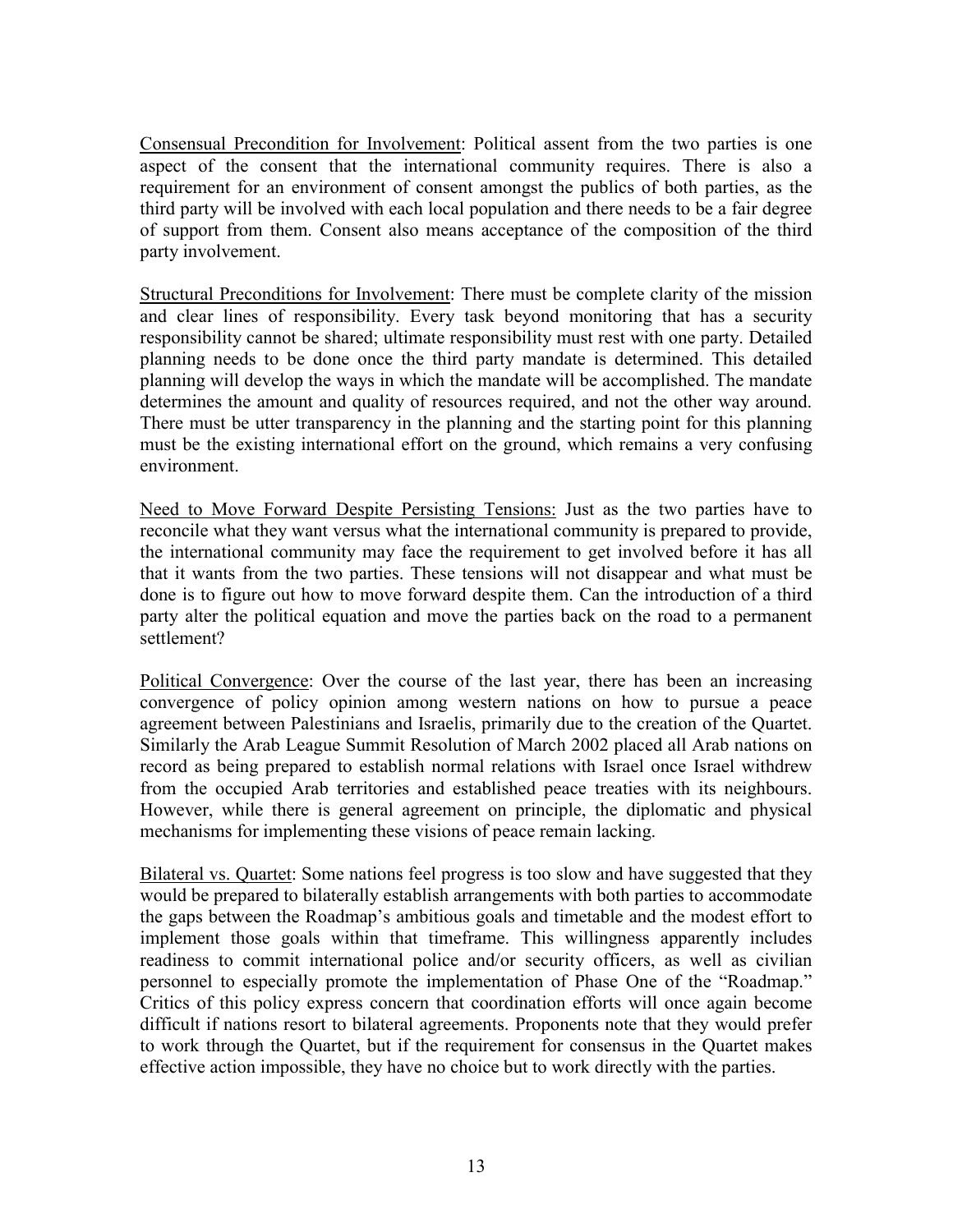Consensual Precondition for Involvement: Political assent from the two parties is one aspect of the consent that the international community requires. There is also a requirement for an environment of consent amongst the publics of both parties, as the third party will be involved with each local population and there needs to be a fair degree of support from them. Consent also means acceptance of the composition of the third party involvement.

Structural Preconditions for Involvement: There must be complete clarity of the mission and clear lines of responsibility. Every task beyond monitoring that has a security responsibility cannot be shared; ultimate responsibility must rest with one party. Detailed planning needs to be done once the third party mandate is determined. This detailed planning will develop the ways in which the mandate will be accomplished. The mandate determines the amount and quality of resources required, and not the other way around. There must be utter transparency in the planning and the starting point for this planning must be the existing international effort on the ground, which remains a very confusing environment.

Need to Move Forward Despite Persisting Tensions: Just as the two parties have to reconcile what they want versus what the international community is prepared to provide, the international community may face the requirement to get involved before it has all that it wants from the two parties. These tensions will not disappear and what must be done is to figure out how to move forward despite them. Can the introduction of a third party alter the political equation and move the parties back on the road to a permanent settlement?

Political Convergence: Over the course of the last year, there has been an increasing convergence of policy opinion among western nations on how to pursue a peace agreement between Palestinians and Israelis, primarily due to the creation of the Quartet. Similarly the Arab League Summit Resolution of March 2002 placed all Arab nations on record as being prepared to establish normal relations with Israel once Israel withdrew from the occupied Arab territories and established peace treaties with its neighbours. However, while there is general agreement on principle, the diplomatic and physical mechanisms for implementing these visions of peace remain lacking.

Bilateral vs. Quartet: Some nations feel progress is too slow and have suggested that they would be prepared to bilaterally establish arrangements with both parties to accommodate the gaps between the Roadmap's ambitious goals and timetable and the modest effort to implement those goals within that timeframe. This willingness apparently includes readiness to commit international police and/or security officers, as well as civilian personnel to especially promote the implementation of Phase One of the "Roadmap." Critics of this policy express concern that coordination efforts will once again become difficult if nations resort to bilateral agreements. Proponents note that they would prefer to work through the Quartet, but if the requirement for consensus in the Quartet makes effective action impossible, they have no choice but to work directly with the parties.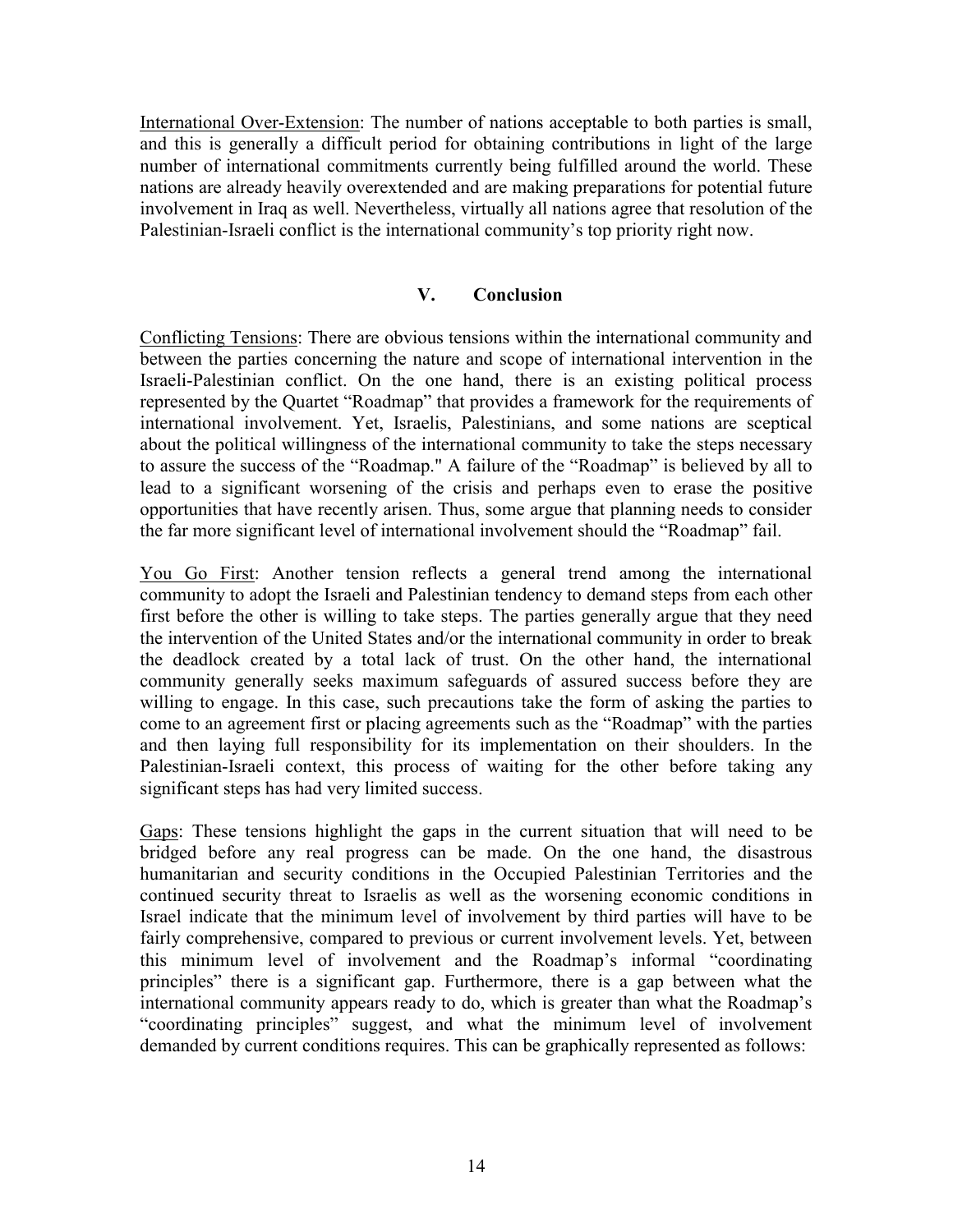International Over-Extension: The number of nations acceptable to both parties is small, and this is generally a difficult period for obtaining contributions in light of the large number of international commitments currently being fulfilled around the world. These nations are already heavily overextended and are making preparations for potential future involvement in Iraq as well. Nevertheless, virtually all nations agree that resolution of the Palestinian-Israeli conflict is the international community's top priority right now.

### **V. Conclusion**

Conflicting Tensions: There are obvious tensions within the international community and between the parties concerning the nature and scope of international intervention in the Israeli-Palestinian conflict. On the one hand, there is an existing political process represented by the Quartet "Roadmap" that provides a framework for the requirements of international involvement. Yet, Israelis, Palestinians, and some nations are sceptical about the political willingness of the international community to take the steps necessary to assure the success of the "Roadmap." A failure of the "Roadmap" is believed by all to lead to a significant worsening of the crisis and perhaps even to erase the positive opportunities that have recently arisen. Thus, some argue that planning needs to consider the far more significant level of international involvement should the "Roadmap" fail.

You Go First: Another tension reflects a general trend among the international community to adopt the Israeli and Palestinian tendency to demand steps from each other first before the other is willing to take steps. The parties generally argue that they need the intervention of the United States and/or the international community in order to break the deadlock created by a total lack of trust. On the other hand, the international community generally seeks maximum safeguards of assured success before they are willing to engage. In this case, such precautions take the form of asking the parties to come to an agreement first or placing agreements such as the "Roadmap" with the parties and then laying full responsibility for its implementation on their shoulders. In the Palestinian-Israeli context, this process of waiting for the other before taking any significant steps has had very limited success.

Gaps: These tensions highlight the gaps in the current situation that will need to be bridged before any real progress can be made. On the one hand, the disastrous humanitarian and security conditions in the Occupied Palestinian Territories and the continued security threat to Israelis as well as the worsening economic conditions in Israel indicate that the minimum level of involvement by third parties will have to be fairly comprehensive, compared to previous or current involvement levels. Yet, between this minimum level of involvement and the Roadmap's informal "coordinating principles" there is a significant gap. Furthermore, there is a gap between what the international community appears ready to do, which is greater than what the Roadmap's "coordinating principles" suggest, and what the minimum level of involvement demanded by current conditions requires. This can be graphically represented as follows: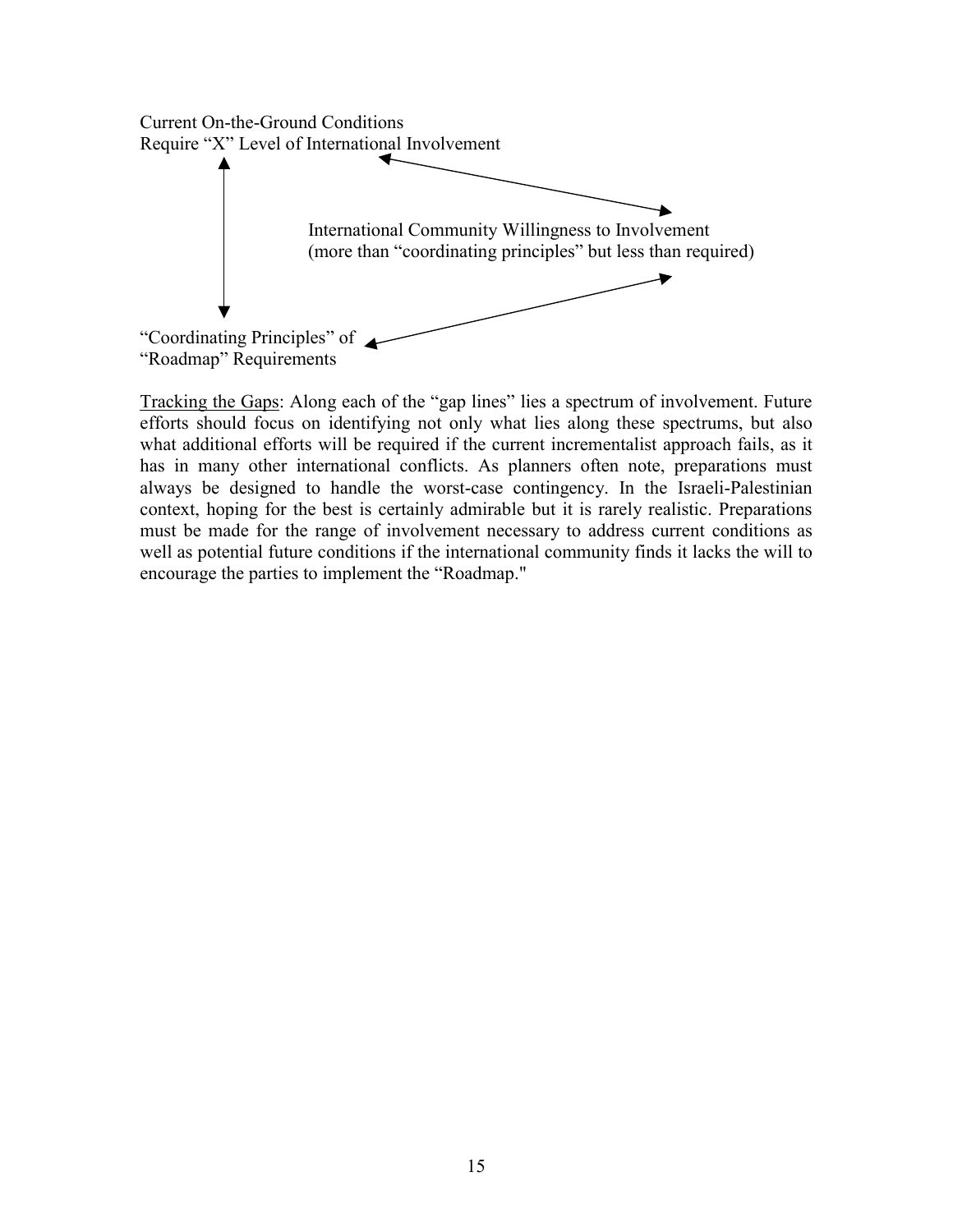

Tracking the Gaps: Along each of the "gap lines" lies a spectrum of involvement. Future efforts should focus on identifying not only what lies along these spectrums, but also what additional efforts will be required if the current incrementalist approach fails, as it has in many other international conflicts. As planners often note, preparations must always be designed to handle the worst-case contingency. In the Israeli-Palestinian context, hoping for the best is certainly admirable but it is rarely realistic. Preparations must be made for the range of involvement necessary to address current conditions as well as potential future conditions if the international community finds it lacks the will to encourage the parties to implement the "Roadmap."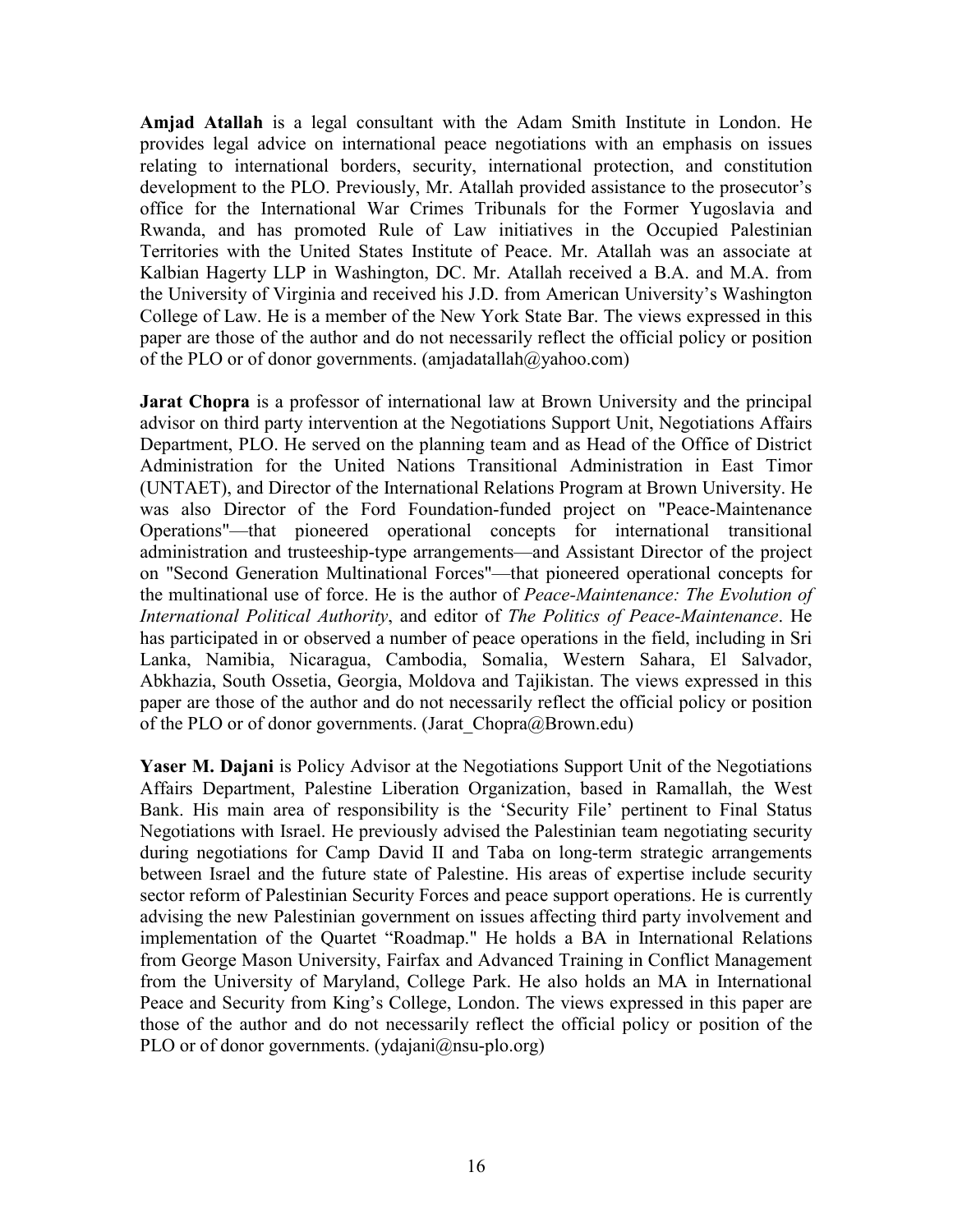**Amjad Atallah** is a legal consultant with the Adam Smith Institute in London. He provides legal advice on international peace negotiations with an emphasis on issues relating to international borders, security, international protection, and constitution development to the PLO. Previously, Mr. Atallah provided assistance to the prosecutor's office for the International War Crimes Tribunals for the Former Yugoslavia and Rwanda, and has promoted Rule of Law initiatives in the Occupied Palestinian Territories with the United States Institute of Peace. Mr. Atallah was an associate at Kalbian Hagerty LLP in Washington, DC. Mr. Atallah received a B.A. and M.A. from the University of Virginia and received his J.D. from American University's Washington College of Law. He is a member of the New York State Bar. The views expressed in this paper are those of the author and do not necessarily reflect the official policy or position of the PLO or of donor governments. (amjadatallah@yahoo.com)

**Jarat Chopra** is a professor of international law at Brown University and the principal advisor on third party intervention at the Negotiations Support Unit, Negotiations Affairs Department, PLO. He served on the planning team and as Head of the Office of District Administration for the United Nations Transitional Administration in East Timor (UNTAET), and Director of the International Relations Program at Brown University. He was also Director of the Ford Foundation-funded project on "Peace-Maintenance Operations"—that pioneered operational concepts for international transitional administration and trusteeship-type arrangements—and Assistant Director of the project on "Second Generation Multinational Forces"—that pioneered operational concepts for the multinational use of force. He is the author of *Peace-Maintenance: The Evolution of International Political Authority*, and editor of *The Politics of Peace-Maintenance*. He has participated in or observed a number of peace operations in the field, including in Sri Lanka, Namibia, Nicaragua, Cambodia, Somalia, Western Sahara, El Salvador, Abkhazia, South Ossetia, Georgia, Moldova and Tajikistan. The views expressed in this paper are those of the author and do not necessarily reflect the official policy or position of the PLO or of donor governments. (Jarat\_Chopra@Brown.edu)

**Yaser M. Dajani** is Policy Advisor at the Negotiations Support Unit of the Negotiations Affairs Department, Palestine Liberation Organization, based in Ramallah, the West Bank. His main area of responsibility is the 'Security File' pertinent to Final Status Negotiations with Israel. He previously advised the Palestinian team negotiating security during negotiations for Camp David II and Taba on long-term strategic arrangements between Israel and the future state of Palestine. His areas of expertise include security sector reform of Palestinian Security Forces and peace support operations. He is currently advising the new Palestinian government on issues affecting third party involvement and implementation of the Quartet "Roadmap." He holds a BA in International Relations from George Mason University, Fairfax and Advanced Training in Conflict Management from the University of Maryland, College Park. He also holds an MA in International Peace and Security from King's College, London. The views expressed in this paper are those of the author and do not necessarily reflect the official policy or position of the PLO or of donor governments. (ydajani@nsu-plo.org)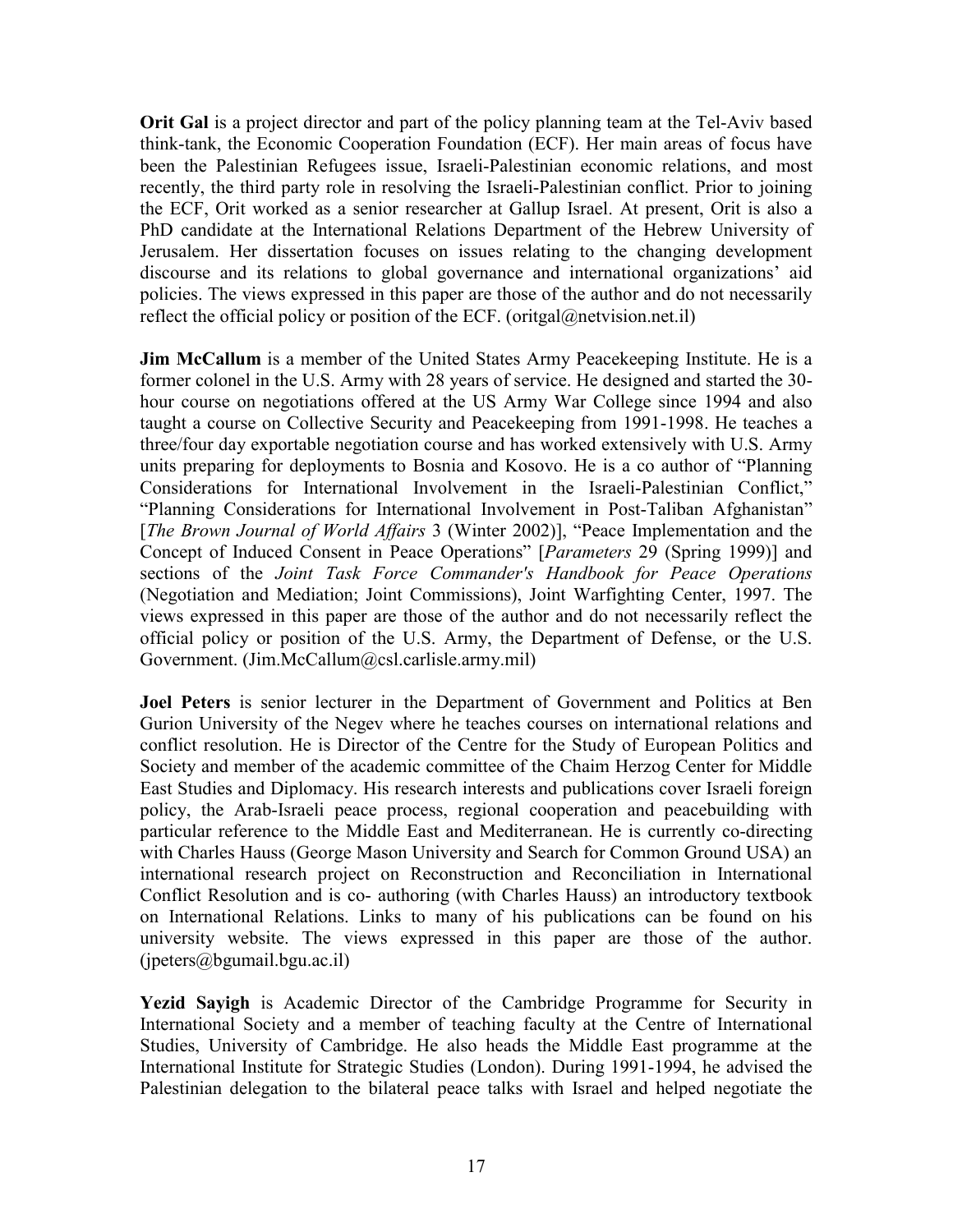**Orit Gal** is a project director and part of the policy planning team at the Tel-Aviv based think-tank, the Economic Cooperation Foundation (ECF). Her main areas of focus have been the Palestinian Refugees issue, Israeli-Palestinian economic relations, and most recently, the third party role in resolving the Israeli-Palestinian conflict. Prior to joining the ECF, Orit worked as a senior researcher at Gallup Israel. At present, Orit is also a PhD candidate at the International Relations Department of the Hebrew University of Jerusalem. Her dissertation focuses on issues relating to the changing development discourse and its relations to global governance and international organizations' aid policies. The views expressed in this paper are those of the author and do not necessarily reflect the official policy or position of the ECF. (oritgal@netvision.net.il)

**Jim McCallum** is a member of the United States Army Peacekeeping Institute. He is a former colonel in the U.S. Army with 28 years of service. He designed and started the 30 hour course on negotiations offered at the US Army War College since 1994 and also taught a course on Collective Security and Peacekeeping from 1991-1998. He teaches a three/four day exportable negotiation course and has worked extensively with U.S. Army units preparing for deployments to Bosnia and Kosovo. He is a co author of "Planning Considerations for International Involvement in the Israeli-Palestinian Conflict," "Planning Considerations for International Involvement in Post-Taliban Afghanistan" [*The Brown Journal of World Affairs* 3 (Winter 2002)], "Peace Implementation and the Concept of Induced Consent in Peace Operations" [*Parameters* 29 (Spring 1999)] and sections of the *Joint Task Force Commander's Handbook for Peace Operations* (Negotiation and Mediation; Joint Commissions), Joint Warfighting Center, 1997. The views expressed in this paper are those of the author and do not necessarily reflect the official policy or position of the U.S. Army, the Department of Defense, or the U.S. Government. (Jim.McCallum@csl.carlisle.army.mil)

**Joel Peters** is senior lecturer in the Department of Government and Politics at Ben Gurion University of the Negev where he teaches courses on international relations and conflict resolution. He is Director of the Centre for the Study of European Politics and Society and member of the academic committee of the Chaim Herzog Center for Middle East Studies and Diplomacy. His research interests and publications cover Israeli foreign policy, the Arab-Israeli peace process, regional cooperation and peacebuilding with particular reference to the Middle East and Mediterranean. He is currently co-directing with Charles Hauss (George Mason University and Search for Common Ground USA) an international research project on Reconstruction and Reconciliation in International Conflict Resolution and is co- authoring (with Charles Hauss) an introductory textbook on International Relations. Links to many of his publications can be found on his university website. The views expressed in this paper are those of the author. (jpeters@bgumail.bgu.ac.il)

**Yezid Sayigh** is Academic Director of the Cambridge Programme for Security in International Society and a member of teaching faculty at the Centre of International Studies, University of Cambridge. He also heads the Middle East programme at the International Institute for Strategic Studies (London). During 1991-1994, he advised the Palestinian delegation to the bilateral peace talks with Israel and helped negotiate the